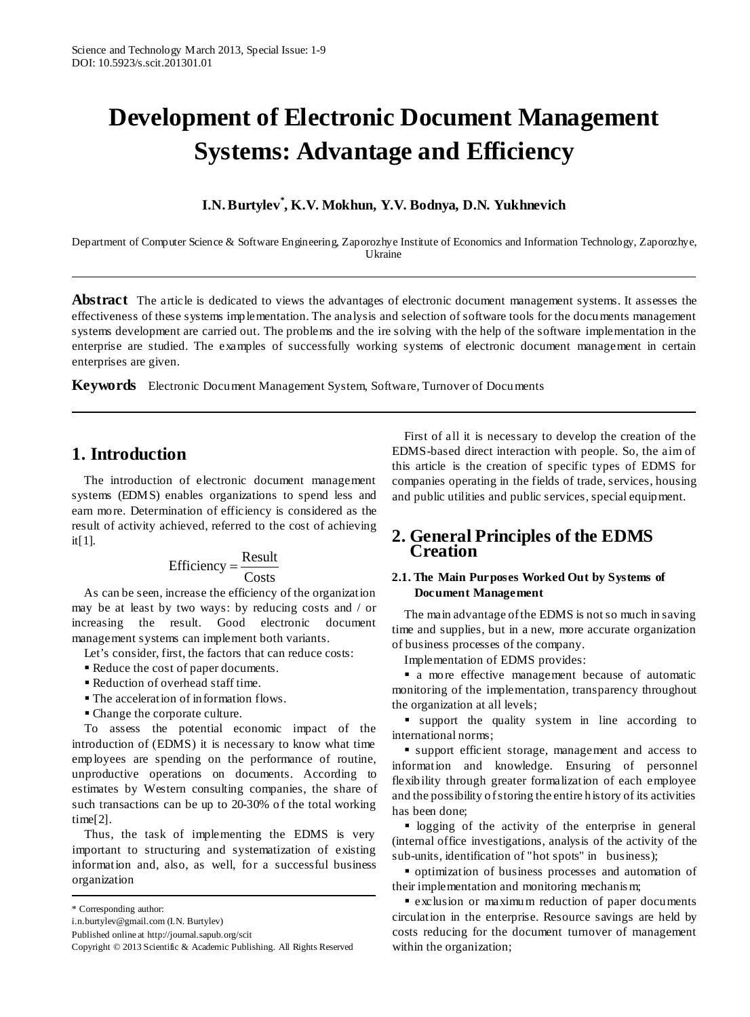# **Development of Electronic Document Management Systems: Advantage and Efficiency**

## **I.N.Burtylev\* , K.V. Mokhun, Y.V. Bodnya, D.N. Yukhnevich**

Department of Computer Science & Software Engineering, Zaporozhye Institute of Economics and Information Technology, Zaporozhye, Ukraine

**Abstract** The article is dedicated to views the advantages of electronic document management systems. It assesses the effectiveness of these systems implementation. The analysis and selection of software tools for the documents management systems development are carried out. The problems and the ire solving with the help of the software implementation in the enterprise are studied. The examples of successfully working systems of electronic document management in certain enterprises are given.

**Keywords** Electronic Document Management System, Software, Turnover of Documents

# **1. Introduction**

The introduction of electronic document management systems (EDMS) enables organizations to spend less and earn more. Determination of efficiency is considered as the result of activity achieved, referred to the cost of achieving it[1].

$$
Efficiency = \frac{Result}{Costs}
$$

As can be seen, increase the efficiency of the organization may be at least by two ways: by reducing costs and / or increasing the result. Good electronic document management systems can implement both variants.

Let's consider, first, the factors that can reduce costs:

- Reduce the cost of paper documents.
- Reduction of overhead staff time.
- The acceleration of information flows.
- Change the corporate culture.

To assess the potential economic impact of the introduction of (EDMS) it is necessary to know what time employees are spending on the performance of routine, unproductive operations on documents. According to estimates by Western consulting companies, the share of such transactions can be up to 20-30% of the total working time[2].

Thus, the task of implementing the EDMS is very important to structuring and systematization of existing information and, also, as well, for a successful business organization

First of all it is necessary to develop the creation of the EDMS-based direct interaction with people. So, the aim of this article is the creation of specific types of EDMS for companies operating in the fields of trade, services, housing and public utilities and public services, special equipment.

## **2. General Principles of the EDMS Creation**

## **2.1. The Main Purposes Worked Out by Systems of Document Management**

The main advantage ofthe EDMS is notso much in saving time and supplies, but in a new, more accurate organization of business processes of the company.

Implementation of EDMS provides:

 a more effective management because of automatic monitoring of the implementation, transparency throughout the organization at all levels;

 support the quality system in line according to international norms;

 support efficient storage, management and access to information and knowledge. Ensuring of personnel flexibility through greater formalization of each employee and the possibility ofstoring the entire history of its activities has been done;

logging of the activity of the enterprise in general (internal office investigations, analysis of the activity of the sub-units, identification of "hot spots" in business);

 optimization of business processes and automation of their implementation and monitoring mechanis m;

 exclusion or maximum reduction of paper documents circulation in the enterprise. Resource savings are held by costs reducing for the document turnover of management within the organization;

<sup>\*</sup> Corresponding author:

i.n.burtylev@gmail.com (I.N. Burtylev)

Published online at http://journal.sapub.org/scit

Copyright © 2013 Scientific & Academic Publishing. All Rights Reserved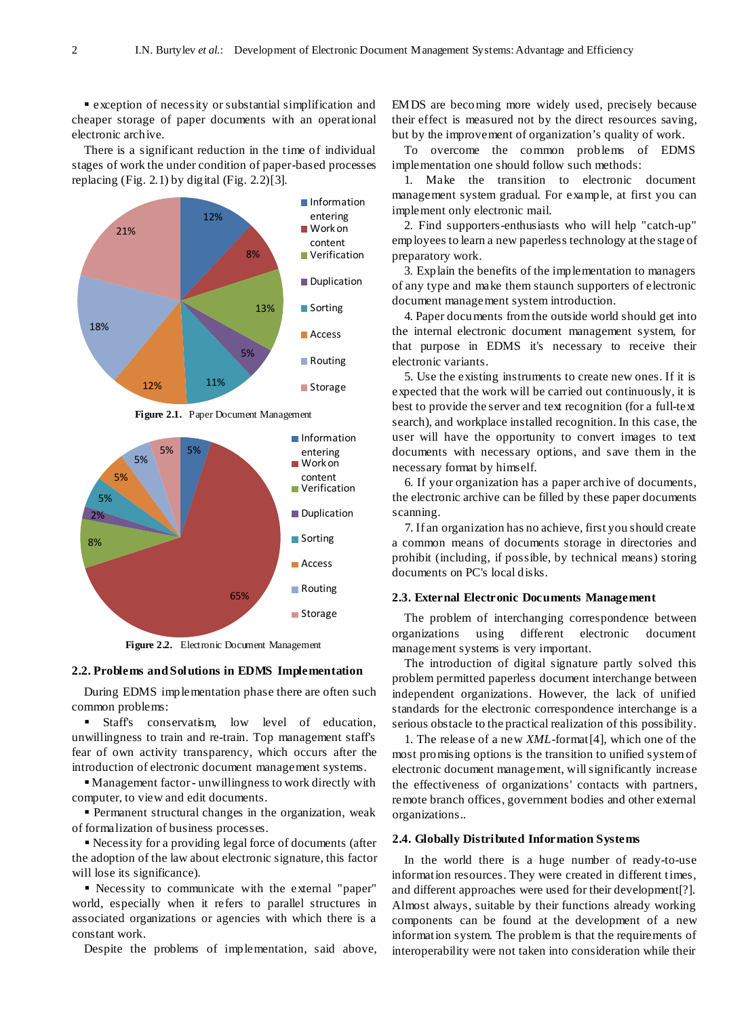exception of necessity or substantial simplification and cheaper storage of paper documents with an operational electronic archive.

There is a significant reduction in the time of individual stages of work the under condition of paper-based processes replacing (Fig. 2.1) by digital (Fig. 2.2)[3].



**Figure 2.1.** Paper Document Management



**Figure 2.2.** Electronic Document Management

## **2.2. Problems andSolutions in EDMS Implementation**

During EDMS implementation phase there are often such common problems:

 Staff's conservatism, low level of education, unwillingness to train and re-train. Top management staff's fear of own activity transparency, which occurs after the introduction of electronic document management systems.

 Management factor- unwillingness to work directly with computer, to view and edit documents.

 Permanent structural changes in the organization, weak of formalization of business processes.

 Necessity for a providing legal force of documents (after the adoption of the law about electronic signature, this factor will lose its significance).

 Necessity to communicate with the external "paper" world, especially when it refers to parallel structures in associated organizations or agencies with which there is a constant work.

Despite the problems of implementation, said above,

EMDS are becoming more widely used, precisely because their effect is measured not by the direct resources saving, but by the improvement of organization's quality of work.

To overcome the common problems of EDMS implementation one should follow such methods:

1. Make the transition to electronic document management system gradual. For example, at first you can implement only electronic mail.

2. Find supporters-enthusiasts who will help "catch-up" employees to learn a new paperless technology at the stage of preparatory work.

3. Explain the benefits of the implementation to managers of any type and make them staunch supporters of electronic document management system introduction.

4. Paper documents fromthe outside world should get into the internal electronic document management system, for that purpose in EDMS it's necessary to receive their electronic variants.

5. Use the existing instruments to create new ones. If it is expected that the work will be carried out continuously, it is best to provide the server and text recognition (for a full-text search), and workplace installed recognition. In this case, the user will have the opportunity to convert images to text documents with necessary options, and save them in the necessary format by himself.

6. If your organization has a paper archive of documents, the electronic archive can be filled by these paper documents scanning.

7. If an organization has no achieve, first you should create a common means of documents storage in directories and prohibit (including, if possible, by technical means) storing documents on PC's local disks.

#### **2.3. External Electronic Documents Management**

The problem of interchanging correspondence between organizations using different electronic document management systems is very important.

The introduction of digital signature partly solved this problem permitted paperless document interchange between independent organizations. However, the lack of unified standards for the electronic correspondence interchange is a serious obstacle to the practical realization of this possibility.

1. The release of a new *XML*-format[4], which one of the most promising options is the transition to unified systemof electronic document management, willsignificantly increase the effectiveness of organizations' contacts with partners, remote branch offices, government bodies and other external organizations..

#### **2.4. Globally Distributed Information Systems**

In the world there is a huge number of ready-to-use information resources. They were created in different times, and different approaches were used for their development[?]. Almost always, suitable by their functions already working components can be found at the development of a new information system. The problem is that the requirements of interoperability were not taken into consideration while their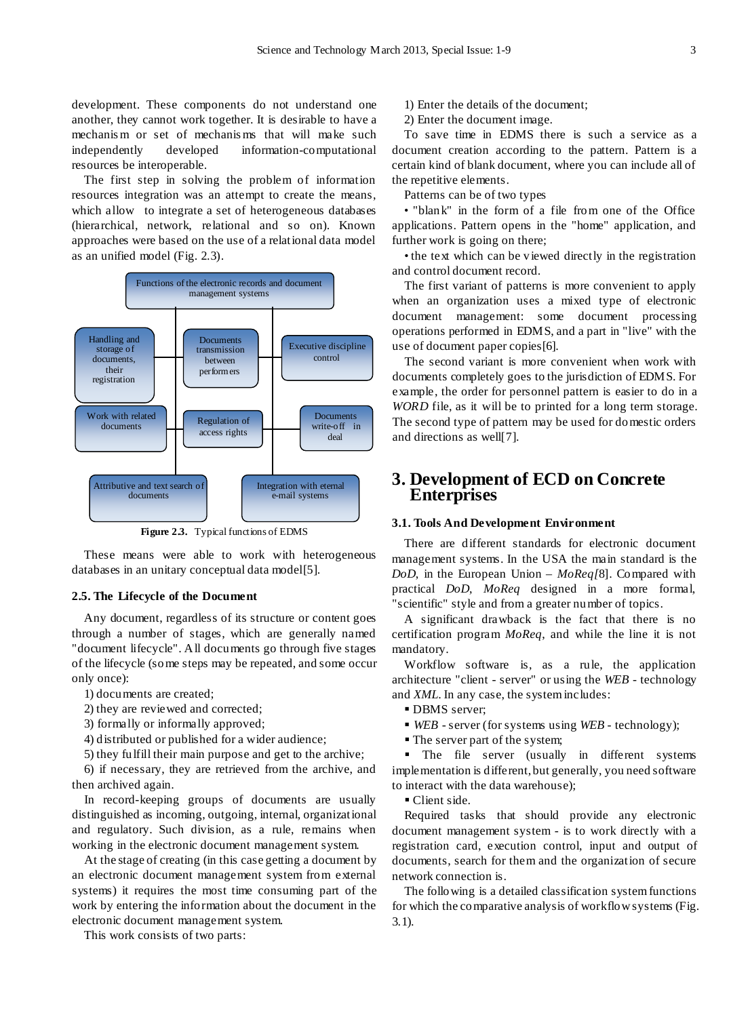development. These components do not understand one another, they cannot work together. It is desirable to have a mechanis m or set of mechanis ms that will make such independently developed information-computational resources be interoperable.

The first step in solving the problem of information resources integration was an attempt to create the means, which allow to integrate a set of heterogeneous databases (hierarchical, network, relational and so on). Known approaches were based on the use of a relational data model as an unified model (Fig. 2.3).



**Figure 2.3.** Typical functions of EDMS

These means were able to work with heterogeneous databases in an unitary conceptual data model[5].

## **2.5. The Lifecycle of the Document**

Any document, regardless of its structure or content goes through a number of stages, which are generally named "document lifecycle". All documents go through five stages of the lifecycle (some steps may be repeated, and some occur only once):

1) documents are created;

2) they are reviewed and corrected;

3) formally or informally approved;

4) distributed or published for a wider audience;

5) they fulfill their main purpose and get to the archive;

6) if necessary, they are retrieved from the archive, and then archived again.

In record-keeping groups of documents are usually distinguished as incoming, outgoing, internal, organizational and regulatory. Such division, as a rule, remains when working in the electronic document management system.

At the stage of creating (in this case getting a document by an electronic document management system from external systems) it requires the most time consuming part of the work by entering the information about the document in the electronic document management system.

This work consists of two parts:

1) Enter the details of the document;

2) Enter the document image.

To save time in EDMS there is such a service as a document creation according to the pattern. Pattern is a certain kind of blank document, where you can include all of the repetitive elements.

Patterns can be of two types

• "blank" in the form of a file from one of the Office applications. Pattern opens in the "home" application, and further work is going on there;

• the text which can be viewed directly in the registration and control document record.

The first variant of patterns is more convenient to apply when an organization uses a mixed type of electronic document management: some document processing operations performed in EDMS, and a part in "live" with the use of document paper copies[6].

The second variant is more convenient when work with documents completely goes to the jurisdiction of EDMS. For example, the order for personnel pattern is easier to do in a *WORD* file, as it will be to printed for a long term storage. The second type of pattern may be used for domestic orders and directions as well[7].

## **3. Development of ECD on Concrete Enterprises**

### **3.1. Tools And Development Environment**

There are different standards for electronic document management systems. In the USA the main standard is the *DoD*, in the European Union – *MoReq[*8]. Compared with practical *DoD*, *MoReq* designed in a more formal, "scientific" style and from a greater number of topics.

A significant drawback is the fact that there is no certification program *MoReq*, and while the line it is not mandatory.

Workflow software is, as a rule, the application architecture "client - server" or using the *WEB* - technology and *XML*. In any case, the systemincludes:

- **DBMS** server:
- *WEB* server (for systems using *WEB* technology);
- The server part of the system;

• The file server (usually in different systems implementation is different, but generally, you need software to interact with the data warehouse);

Client side.

Required tasks that should provide any electronic document management system - is to work directly with a registration card, execution control, input and output of documents, search for them and the organization of secure network connection is.

The following is a detailed classification systemfunctions for which the comparative analysis of workflowsystems (Fig. 3.1).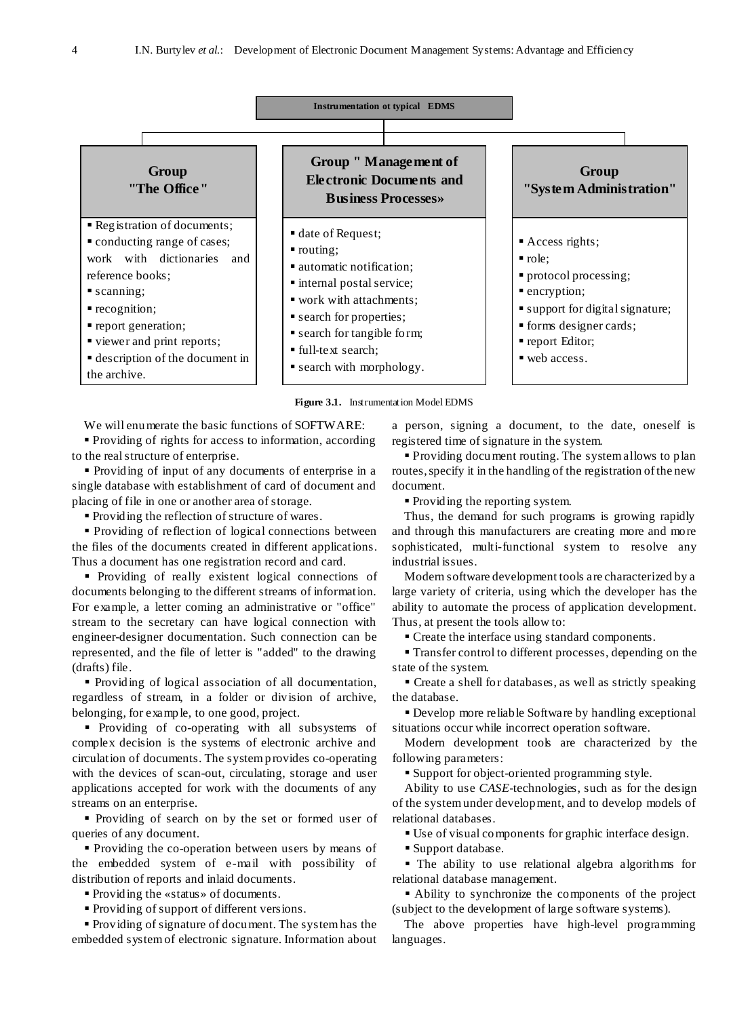

**Figure 3.1.** Instrumentation Model EDMS

We will enumerate the basic functions of SOFTWARE:

 Providing of rights for access to information, according to the realstructure of enterprise.

 Providing of input of any documents of enterprise in a single database with establishment of card of document and placing of file in one or another area of storage.

Providing the reflection of structure of wares.

 Providing of reflection of logical connections between the files of the documents created in different applications. Thus a document has one registration record and card.

 Providing of really existent logical connections of documents belonging to the different streams of information. For example, a letter coming an administrative or "office" stream to the secretary can have logical connection with engineer-designer documentation. Such connection can be represented, and the file of letter is "added" to the drawing (drafts) file.

 Providing of logical association of all documentation, regardless of stream, in a folder or division of archive, belonging, for example, to one good, project.

**Providing of co-operating with all subsystems of** complex decision is the systems of electronic archive and circulation of documents. The systemprovides co-operating with the devices of scan-out, circulating, storage and user applications accepted for work with the documents of any streams on an enterprise.

 Providing of search on by the set or formed user of queries of any document.

 Providing the co-operation between users by means of the embedded system of e-mail with possibility of distribution of reports and inlaid documents.

Providing the «status» of documents.

Providing of support of different versions.

 Providing of signature of document. The systemhas the embedded systemof electronic signature. Information about

a person, signing a document, to the date, oneself is registered time of signature in the system.

 Providing document routing. The systemallows to plan routes, specify it in the handling of the registration of the new document.

• Providing the reporting system.

Thus, the demand for such programs is growing rapidly and through this manufacturers are creating more and more sophisticated, multi-functional system to resolve any industrial issues.

Modern software development tools are characterized by a large variety of criteria, using which the developer has the ability to automate the process of application development. Thus, at present the tools allow to:

Create the interface using standard components.

 Transfer control to different processes, depending on the state of the system.

 Create a shell for databases, as well as strictly speaking the database.

 Develop more reliable Software by handling exceptional situations occur while incorrect operation software.

Modern development tools are characterized by the following parameters:

Support for object-oriented programming style.

Ability to use *CASE*-technologies, such as for the design of the systemunder development, and to develop models of relational databases.

Use of visual components for graphic interface design.

Support database.

 The ability to use relational algebra algorithms for relational database management.

 Ability to synchronize the components of the project (subject to the development of large software systems).

The above properties have high-level programming languages.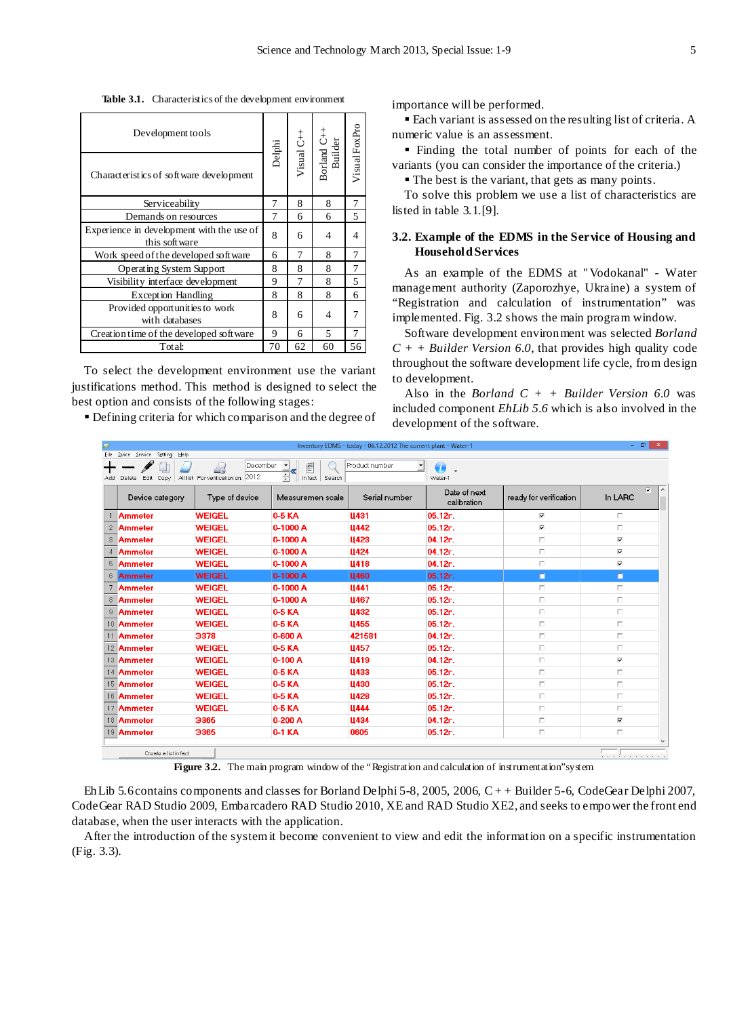**Table 3.1.** Characteristics of the development environment

| Development tools                                           |        |    |                                      |               |
|-------------------------------------------------------------|--------|----|--------------------------------------|---------------|
| Characteristics of software development                     | Delphi |    | Visual C++<br>Borland C++<br>Builder | Visual FoxPro |
| Serviceability                                              | 7      | 8  | 8                                    | 7             |
| Demands on resources                                        | 7      | 6  | 6                                    | 5             |
| Experience in development with the use of<br>this soft ware | 8      | 6  | 4                                    | 4             |
| Work speed of the developed software                        | 6      | 7  | 8                                    | 7             |
| Operating System Support                                    | 8      | 8  | 8                                    | 7             |
| Visibility interface development                            | 9      | 7  | 8                                    | 5             |
| Exception Handling                                          | 8      | 8  | 8                                    | 6             |
| Provided opportunities to work<br>with databases            | 8      | 6  | 4                                    |               |
| Creation time of the developed software                     | 9      | 6  | $\overline{\phantom{0}}$             | 7             |
| Total:                                                      | 70     | 62 | 60                                   | 56            |

To select the development environment use the variant justifications method. This method is designed to select the best option and consists of the following stages:

Defining criteria for which comparison and the degree of

importance will be performed.

 Each variant is assessed on the resulting list of criteria. A numeric value is an assessment.

 Finding the total number of points for each of the variants (you can consider the importance of the criteria.)

The best is the variant, that gets as many points.

To solve this problem we use a list of characteristics are listed in table 3.1.[9].

## **3.2. Example of the EDMS in the Service of Housing and HouseholdServices**

As an example of the EDMS at " Vodokanal" - Water management authority (Zaporozhye, Ukraine) a system of "Registration and calculation of instrumentation" was implemented. Fig. 3.2 shows the main program window.

Software development environment was selected *Borland C + + Builder Version 6.0*, that provides high quality code throughout the software development life cycle, from design to development.

Also in the *Borland*  $C + +$  *Builder Version* 6.0 was included component *EhLib 5.6* which is also involved in the development of the software.

| 0 |                                                            |                                                                           |                                                      | Inventory EDMS - today - 06.12.2012 The current plant - Water-1 |                             |                         | $    -$                            |
|---|------------------------------------------------------------|---------------------------------------------------------------------------|------------------------------------------------------|-----------------------------------------------------------------|-----------------------------|-------------------------|------------------------------------|
|   | Eile Dvice Service Setting Help<br>Edit Copy<br>Add Delete | December<br>$\overline{\mathbb{A}}$<br>All list For verification on: 2012 | F<br>$\overline{\phantom{a}}$<br>쉬<br>In fact Search | Product number<br>킈                                             | $\bm{a}$<br>Water-1         |                         |                                    |
|   | Device category                                            | Type of device                                                            | Measuremen scale                                     | Serial number                                                   | Date of next<br>calibration | ready for verification  | $\overline{\mathbf{v}}$<br>In LARC |
|   | Ammeter                                                    | <b>WEIGEL</b>                                                             | 0-5 KA                                               | <b>U431</b>                                                     | 05.12r.                     | ⊽                       | п                                  |
|   | 2 Ammeter                                                  | <b>WEIGEL</b>                                                             | 0-1000 A                                             | <b>U442</b>                                                     | 05.12r.                     | $\overline{\mathbf{v}}$ | $\Box$                             |
|   | 3 Ammeter                                                  | <b>WEIGEL</b>                                                             | 0-1000 A                                             | Ц423                                                            | 04.12r.                     | $\Box$                  | $\overline{\mathbf{v}}$            |
| 4 | Ammeter                                                    | <b>WEIGEL</b>                                                             | 0-1000 A                                             | <b>U424</b>                                                     | 04.12r.                     | П                       | $\overline{\mathbf{v}}$            |
|   | 5 Ammeter                                                  | <b>WEIGEL</b>                                                             | 0-1000 A                                             | Ц418                                                            | 04.12r.                     | п                       | $\overline{\mathbf{v}}$            |
|   | 6 Ammeter                                                  | <b>WEIGEL</b>                                                             | 0-1000 A                                             | <b>L460</b>                                                     | 05.12r.                     | $\Box$                  | П                                  |
|   | 7 Ammeter                                                  | <b>WEIGEL</b>                                                             | 0-1000 A                                             | Ц441                                                            | 05.12r.                     | П                       | п                                  |
|   | 8 Ammeter                                                  | <b>WEIGEL</b>                                                             | 0-1000 A                                             | <b>U467</b>                                                     | 05.12r.                     | $\Box$                  | $\Box$                             |
| 9 | <b>Ammeter</b>                                             | <b>WEIGEL</b>                                                             | 0-5 KA                                               | Ц432                                                            | 05.12r.                     | П.                      | $\Box$                             |
|   | 10 Ammeter                                                 | <b>WEIGEL</b>                                                             | 0-5 KA                                               | <b>U455</b>                                                     | 05.12r.                     | П                       | П                                  |
|   | 11 Ammeter                                                 | 3378                                                                      | 0-600 A                                              | 421581                                                          | 04.12r.                     | П                       | П                                  |
|   | 12 Ammeter                                                 | <b>WEIGEL</b>                                                             | 0-5 KA                                               | <b>U457</b>                                                     | 05.12r.                     | $\Box$                  | П                                  |
|   | 13 Ammeter                                                 | <b>WEIGEL</b>                                                             | $0-100A$                                             | <b>U419</b>                                                     | 04.12r.                     | $\Box$                  | $\overline{\mathbf{v}}$            |
|   | 14 Ammeter                                                 | <b>WEIGEL</b>                                                             | 0-5 KA                                               | <b>Ц433</b>                                                     | 05.12r.                     | Π.                      | П                                  |
|   | 15 Ammeter                                                 | <b>WEIGEL</b>                                                             | 0-5 KA                                               | Ц430                                                            | 05.12r.                     | $\Box$                  | п                                  |
|   | 16 Ammeter                                                 | <b>WEIGEL</b>                                                             | 0-5 KA                                               | <b>U428</b>                                                     | 05.12r.                     | П                       | П                                  |
|   | 17 Ammeter                                                 | <b>WEIGEL</b>                                                             | 0-5 KA                                               | Ц444                                                            | 05.12r.                     | П                       | П                                  |
|   | 18 Ammeter                                                 | 3365                                                                      | 0-200 A                                              | Ц434                                                            | 04.12r.                     | $\Box$                  | $\overline{\mathbf{v}}$            |
|   | 19 Ammeter                                                 | 3365                                                                      | 0-1 KA                                               | 0605                                                            | 05.12r.                     | $\Box$                  | П                                  |
|   |                                                            |                                                                           |                                                      |                                                                 |                             |                         |                                    |
|   | Create a list in fact                                      |                                                                           |                                                      |                                                                 |                             |                         | .                                  |

Figure 3.2. The main program window of the "Registration and calculation of instrumentation"system

EhLib 5.6contains components and classes for Borland Delphi 5-8, 2005, 2006, C + + Builder 5-6, CodeGear Delphi 2007, CodeGear RAD Studio 2009, Embarcadero RAD Studio 2010, XE and RAD Studio XE2, and seeks to empower the front end database, when the user interacts with the application.

After the introduction of the systemit become convenient to view and edit the information on a specific instrumentation (Fig. 3.3).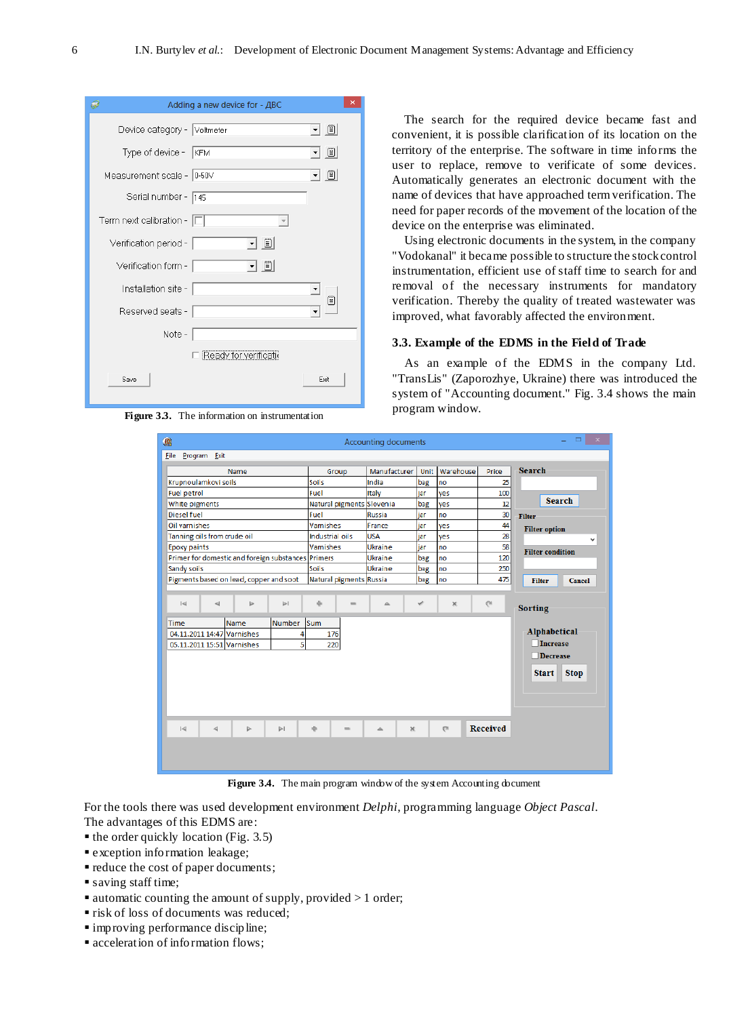| Adding a new device for - ДВС    |  |
|----------------------------------|--|
| Device category - Voltmeter      |  |
| $\Box$<br>Type of device - KFM   |  |
| Ë<br>Measurement scale - 0-50V   |  |
| Serial number - 145              |  |
| Term next calibration - $ \Box $ |  |
| - 8<br>Verification period -     |  |
| V Ü<br>Verification form -       |  |
| Installation site -              |  |
| T<br>Reserved seats -            |  |
| Note-                            |  |
| Ready for verificatie            |  |
| Save<br>Exit                     |  |

**Figure 3.3.** The information on instrumentation

The search for the required device became fast and convenient, it is possible clarification of its location on the territory of the enterprise. The software in time informs the user to replace, remove to verificate of some devices. Automatically generates an electronic document with the name of devices that have approached termverification. The need for paper records of the movement of the location of the device on the enterprise was eliminated.

Using electronic documents in the system, in the company "Vodokanal" it became possible to structure the stockcontrol instrumentation, efficient use of staff time to search for and removal of the necessary instruments for mandatory verification. Thereby the quality of treated wastewater was improved, what favorably affected the environment.

## **3.3. Example of the EDMS in the Field of Trade**

As an example of the EDMS in the company Ltd. "TransLis" (Zaporozhye, Ukraine) there was introduced the system of "Accounting document." Fig. 3.4 shows the main program window.

| 礁 |                             |                      |                                                    |                                                     |                 |                           | <b>Accounting documents</b> |     |                           |                 | $\mathbf{x}$                |
|---|-----------------------------|----------------------|----------------------------------------------------|-----------------------------------------------------|-----------------|---------------------------|-----------------------------|-----|---------------------------|-----------------|-----------------------------|
|   | <b>File</b>                 | Program Exit         |                                                    |                                                     |                 |                           |                             |     |                           |                 |                             |
|   |                             |                      | Name                                               | Warehouse<br>Manufacturer<br>Unit<br>Price<br>Group |                 |                           |                             |     | <b>Search</b>             |                 |                             |
|   | Krupnoulamkovi soils        |                      |                                                    |                                                     | <b>Soils</b>    |                           | India                       | bag | no                        | 25              |                             |
|   | Fuel petrol                 |                      |                                                    |                                                     | Fuel            |                           | Italy                       | jar | yes                       | 100             |                             |
|   | White pigments              |                      |                                                    |                                                     |                 | Natural pigments Slovenia |                             | bag | yes                       | 12              | <b>Search</b>               |
|   | Diesel fuel                 |                      |                                                    |                                                     | Fuel            |                           | Russia                      | jar | no                        | 30              | <b>Filter</b>               |
|   | Oil varnishes               |                      |                                                    |                                                     | Vamishes        |                           | France                      | jar | yes                       | 44              | <b>Filter option</b>        |
|   | Tanning oils from crude oil |                      |                                                    |                                                     | Industrial oils |                           | <b>USA</b>                  | iar | yes                       | 28              | v                           |
|   | <b>Epoxy paints</b>         |                      |                                                    |                                                     | Vamishes        |                           | Ukraine                     | jar | no                        | 58              | <b>Filter condition</b>     |
|   |                             |                      | Primer for domestic and foreign substances Primers |                                                     |                 |                           | <b>Ukraine</b>              | bag | no                        | 120             |                             |
|   | Sandy soils                 |                      |                                                    |                                                     | Soils           |                           | Ukraine                     | bag | no                        | 250             |                             |
|   |                             |                      | Pigments based on lead, copper and soot            |                                                     |                 | Natural pigments Russia   |                             | bag | no                        | 475             | <b>Filter</b><br>Cancel     |
|   |                             |                      |                                                    |                                                     |                 |                           |                             |     |                           |                 |                             |
|   | $\lvert \leqslant \rvert$   | $\blacktriangleleft$ | Þ                                                  | $\blacktriangleright$                               | 赤               | $\qquad \qquad =$         | ▵                           | ৶   | $\mathbf{x}$              | $\mathbb{C}^n$  | <b>Sorting</b>              |
|   | <b>Time</b>                 |                      | <b>Name</b>                                        | <b>Number</b>                                       | lsum.           |                           |                             |     |                           |                 |                             |
|   |                             |                      | 04.11.2011 14:47 Varnishes                         | 4                                                   |                 | 176                       |                             |     |                           |                 | <b>Alphabetical</b>         |
|   |                             |                      | 05.11.2011 15:51 Varnishes                         | 5                                                   |                 | 220                       |                             |     |                           |                 | <b>Increase</b>             |
|   |                             |                      |                                                    |                                                     |                 |                           |                             |     |                           |                 | <b>Decrease</b>             |
|   |                             |                      |                                                    |                                                     |                 |                           |                             |     |                           |                 |                             |
|   |                             |                      |                                                    |                                                     |                 |                           |                             |     |                           |                 | <b>Start</b><br><b>Stop</b> |
|   |                             |                      |                                                    |                                                     |                 |                           |                             |     |                           |                 |                             |
|   |                             |                      |                                                    |                                                     |                 |                           |                             |     |                           |                 |                             |
|   |                             |                      |                                                    |                                                     |                 |                           |                             |     |                           |                 |                             |
|   |                             |                      |                                                    |                                                     |                 |                           |                             |     |                           |                 |                             |
|   | $\lvert \triangleleft$      | $\blacktriangleleft$ | $\triangleright$                                   | $\triangleright$                                    | ÷.              | $\qquad \qquad =$         | $\mathbb{X}$<br>$\triangle$ |     | $\mathbb{C}^{\mathbb{N}}$ | <b>Received</b> |                             |
|   |                             |                      |                                                    |                                                     |                 |                           |                             |     |                           |                 |                             |
|   |                             |                      |                                                    |                                                     |                 |                           |                             |     |                           |                 |                             |
|   |                             |                      |                                                    |                                                     |                 |                           |                             |     |                           |                 |                             |

**Figure** 3.4. The main program window of the system Accounting document

For the tools there was used development environment *Delphi*, programming language *Object Pascal*. The advantages of this EDMS are:

- $\blacksquare$  the order quickly location (Fig. 3.5)
- exception information leakage;
- reduce the cost of paper documents;
- saving staff time;
- $\blacksquare$  automatic counting the amount of supply, provided  $>1$  order;
- **risk of loss of documents was reduced;**
- improving performance discipline;
- acceleration of information flows;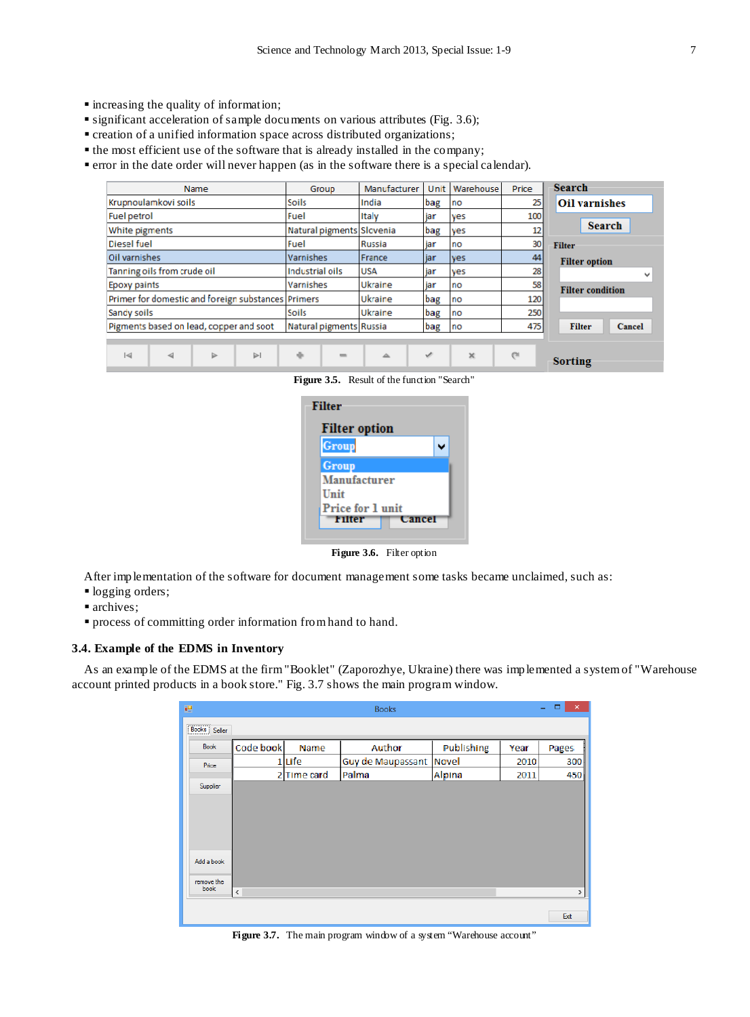- increasing the quality of information;
- significant acceleration of sample documents on various attributes (Fig. 3.6);
- creation of a unified information space across distributed organizations;
- the most efficient use of the software that is already installed in the company;
- error in the date order will never happen (as in the software there is a special calendar).

| Name                                                 | Group                     | Manufacturer  | Unit | Warehouse | Price     | <b>Search</b>           |
|------------------------------------------------------|---------------------------|---------------|------|-----------|-----------|-------------------------|
| Krupnoulamkovi soils                                 | Soils                     | India         | bag  | no        | 25        | <b>Oil varnishes</b>    |
| Fuel petrol                                          | Fuel                      | Italy         | iar  | ves       | 100       |                         |
| White pigments                                       | Natural pigments Slovenia |               | bag  | yes       | 12        | <b>Search</b>           |
| <b>Diesel fuel</b>                                   | Fuel                      | <b>Russia</b> | jar  | no        | 30        | <b>Filter</b>           |
| Oil varnishes                                        | Varnishes                 | France        | jar  | ves       | 44        | <b>Filter option</b>    |
| Tanning oils from crude oil                          | Industrial oils           | <b>USA</b>    | jar  | ves       | 28        | v                       |
| Epoxy paints                                         | Varnishes                 | Ukraine       | jar  | no        | 58        | <b>Filter condition</b> |
| Primer for domestic and foreign substances Primers   |                           | Ukraine       | bag  | Ino       | 120       |                         |
| Sandy soils                                          | <b>Soils</b>              | Ukraine       | bag  | no        | 250       |                         |
| Pigments based on lead, copper and soot              | Natural pigments Russia   |               | bag  | Ino       | 475       | <b>Filter</b><br>Cancel |
|                                                      |                           |               |      |           |           |                         |
| $\lvert \triangleleft$<br>$\triangleright$<br>⊵<br>⊲ | ÷<br>$\qquad \qquad =$    | $\triangle$   | v    | ×         | $C^{\pm}$ | Sorting                 |

**Figure 3.5.** Result of the function "Search"



**Figure 3.6.** Filter option

After implementation of the software for document management some tasks became unclaimed, such as:

- logging orders;
- narchives:
- process of committing order information fromhand to hand.

## **3.4. Example of the EDMS in Inventory**

As an example of the EDMS at the firm"Booklet" (Zaporozhye, Ukraine) there was implemented a systemof "Warehouse account printed products in a book store." Fig. 3.7 shows the main program window.

| 疆                                                                                                              |           |           | <b>Books</b>      |            |      | $\boldsymbol{\times}$<br>$\Box$<br>÷ |
|----------------------------------------------------------------------------------------------------------------|-----------|-----------|-------------------|------------|------|--------------------------------------|
| $\fbox{\parbox{1.5cm} \begin{tabular}{ c c } \hline \textbf{Books} & \textbf{Seller} \\\hline \end{tabular} }$ |           |           |                   |            |      |                                      |
| <b>Book</b>                                                                                                    | Code book | Name      | Author            | Publishing | Year | Pages                                |
| Price                                                                                                          |           | Life      | Guy de Maupassant | Novel      | 2010 | 300                                  |
|                                                                                                                | 2         | Time card | Palma             | Alpina     | 2011 | 450                                  |
| Supplier                                                                                                       |           |           |                   |            |      |                                      |
|                                                                                                                |           |           |                   |            |      |                                      |
|                                                                                                                |           |           |                   |            |      |                                      |
|                                                                                                                |           |           |                   |            |      |                                      |
|                                                                                                                |           |           |                   |            |      |                                      |
| Add a book                                                                                                     |           |           |                   |            |      |                                      |
| remove the                                                                                                     |           |           |                   |            |      |                                      |
| book                                                                                                           | $\,<$     |           |                   |            |      | $\,$                                 |
|                                                                                                                |           |           |                   |            |      |                                      |
|                                                                                                                |           |           |                   |            |      | Exit                                 |

**Figure 3.7.** The main program window of a system "Warehouse account"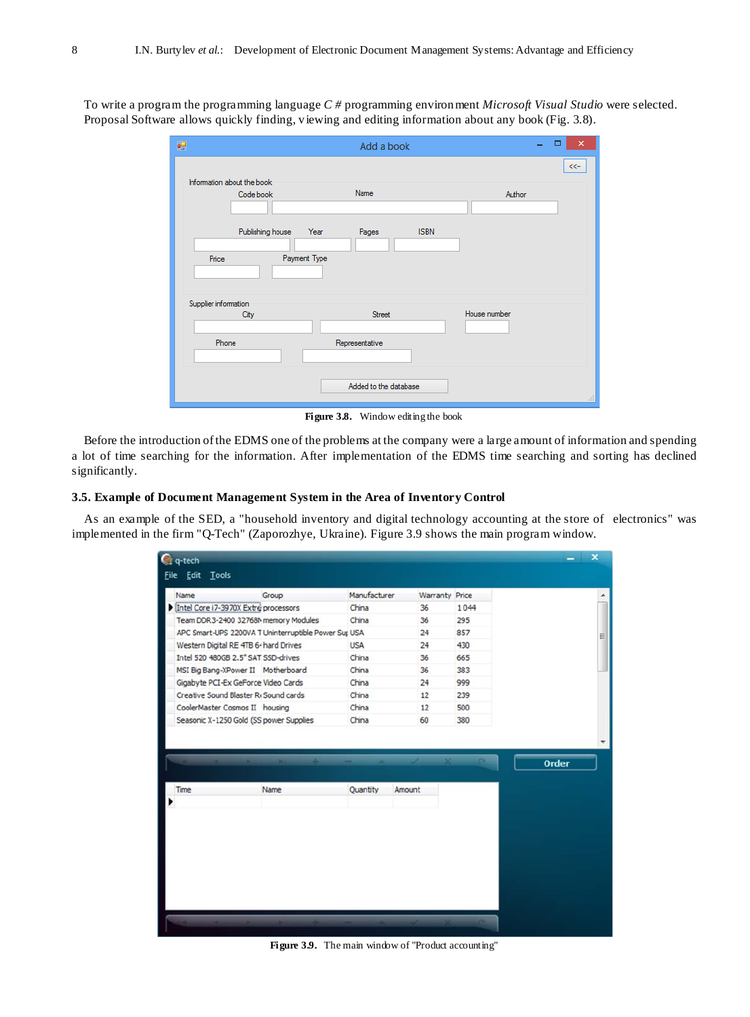To write a program the programming language *C #* programming environment *Microsoft Visual Studio* were selected. Proposal Software allows quickly finding, viewing and editing information about any book (Fig. 3.8).

| 轀                                       | Add a book                                   | $\pmb{\times}$<br>- |
|-----------------------------------------|----------------------------------------------|---------------------|
| Information about the book<br>Code book | Name                                         | $<<$<br>Author      |
| Publishing house<br>Price               | <b>ISBN</b><br>Pages<br>Year<br>Payment Type |                     |
| Supplier information<br>City<br>Phone   | Street<br>Representative                     | House number        |
|                                         | Added to the database                        | al.                 |

**Figure 3.8.** Window editing the book

Before the introduction ofthe EDMS one of the problems at the company were a large amount of information and spending a lot of time searching for the information. After implementation of the EDMS time searching and sorting has declined significantly.

## **3.5. Example of Document Management System in the Area of Inventory Control**

As an example of the SED, a "household inventory and digital technology accounting at the store of electronics" was implemented in the firm "Q-Tech" (Zaporozhye, Ukraine). Figure 3.9 shows the main program window.

| Name                                              | Group                                                | Manufacturer | <b>Warranty Price</b> |      |              |
|---------------------------------------------------|------------------------------------------------------|--------------|-----------------------|------|--------------|
| Intel Core i7-3970X Extre processors              |                                                      | China        | 36                    | 1044 |              |
| Team DDR3-2400 32768M memory Modules              |                                                      | China        | 36                    | 295  |              |
|                                                   | APC Smart-UPS 2200VA T Uninterruptible Power Sur USA |              | 24                    | 857  |              |
| Western Digital RE 4TB 6- hard Drives             |                                                      | <b>USA</b>   | 24                    | 430  |              |
| Intel 520 480GB 2.5" SAT SSD-drives               |                                                      | China        | 36                    | 665  |              |
| MSI Big Bang-XPower II Motherboard                |                                                      | China        | 36                    | 383  |              |
| Gigabyte PCI-Ex GeForce Video Cards               |                                                      | China        | 24                    | 999  |              |
| Creative Sound Blaster R <sub>1</sub> Sound cards |                                                      | China        | 12                    | 239  |              |
| CoolerMaster Cosmos II housing                    |                                                      | China        | 12                    | 500  |              |
| Seasonic X-1250 Gold (SS power Supplies           |                                                      | China        | 60                    | 380  |              |
|                                                   |                                                      |              |                       |      | <b>Order</b> |
| Time                                              | Name                                                 | Quantity     | Amount                |      |              |
|                                                   |                                                      |              |                       |      |              |
|                                                   |                                                      |              |                       |      |              |
|                                                   |                                                      |              |                       |      |              |
|                                                   |                                                      |              |                       |      |              |
|                                                   |                                                      |              |                       |      |              |
|                                                   |                                                      |              |                       |      |              |
|                                                   |                                                      |              |                       |      |              |
|                                                   |                                                      |              |                       |      |              |

**Figure 3.9.** The main window of "Product accounting"